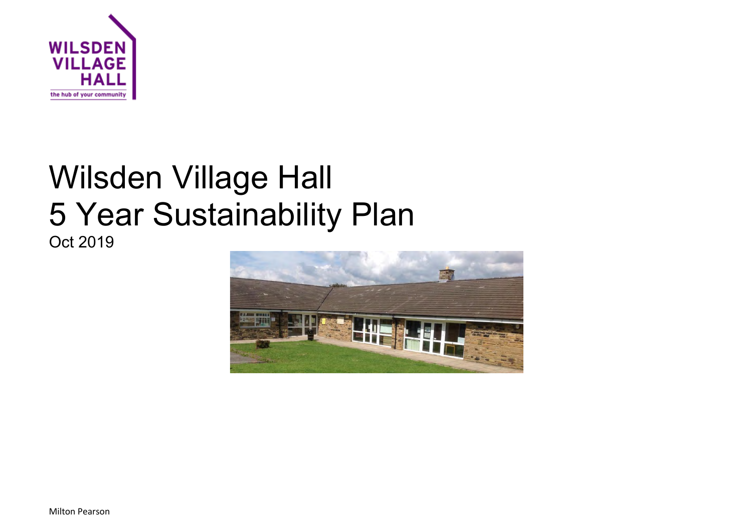

# Wilsden Village Hall 5 Year Sustainability Plan Oct 2019

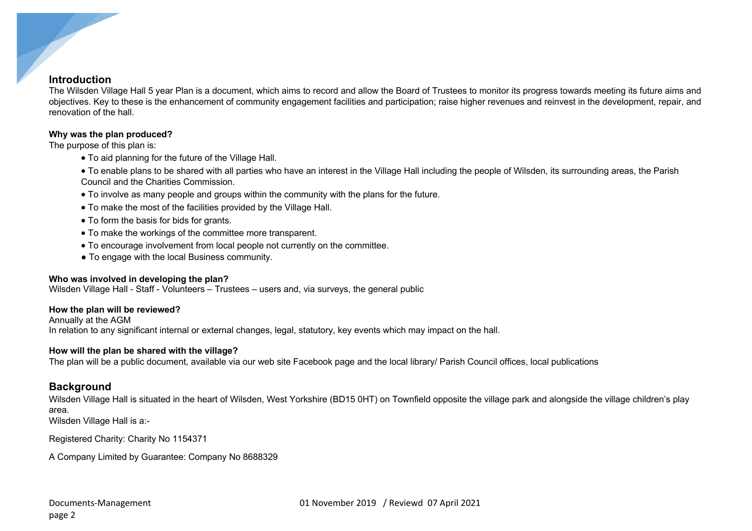# **Introduction**

The Wilsden Village Hall 5 year Plan is a document, which aims to record and allow the Board of Trustees to monitor its progress towards meeting its future aims and objectives. Key to these is the enhancement of community engagement facilities and participation; raise higher revenues and reinvest in the development, repair, and renovation of the hall.

#### **Why was the plan produced?**

The purpose of this plan is:

- To aid planning for the future of the Village Hall.
- To enable plans to be shared with all parties who have an interest in the Village Hall including the people of Wilsden, its surrounding areas, the Parish Council and the Charities Commission.
- To involve as many people and groups within the community with the plans for the future.
- To make the most of the facilities provided by the Village Hall.
- To form the basis for bids for grants.
- To make the workings of the committee more transparent.
- To encourage involvement from local people not currently on the committee.
- To engage with the local Business community.

#### **Who was involved in developing the plan?**

Wilsden Village Hall - Staff - Volunteers – Trustees – users and, via surveys, the general public

#### **How the plan will be reviewed?**

Annually at the AGM In relation to any significant internal or external changes, legal, statutory, key events which may impact on the hall.

### **How will the plan be shared with the village?**

The plan will be a public document, available via our web site Facebook page and the local library/ Parish Council offices, local publications

# **Background**

Wilsden Village Hall is situated in the heart of Wilsden, West Yorkshire (BD15 0HT) on Townfield opposite the village park and alongside the village children's play area.

Wilsden Village Hall is a:-

Registered Charity: Charity No 1154371

A Company Limited by Guarantee: Company No 8688329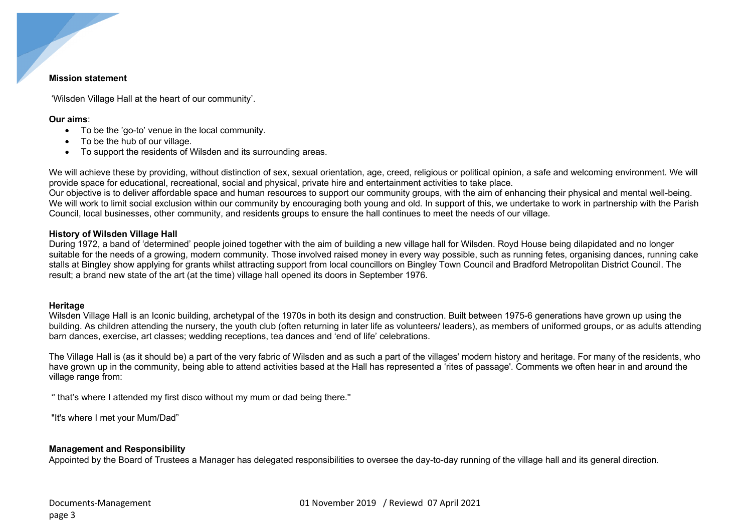#### **Mission statement**

'Wilsden Village Hall at the heart of our community'.

#### **Our aims**:

- To be the 'go-to' venue in the local community.
- To be the hub of our village.
- To support the residents of Wilsden and its surrounding areas.

We will achieve these by providing, without distinction of sex, sexual orientation, age, creed, religious or political opinion, a safe and welcoming environment. We will provide space for educational, recreational, social and physical, private hire and entertainment activities to take place.

Our objective is to deliver affordable space and human resources to support our community groups, with the aim of enhancing their physical and mental well-being. We will work to limit social exclusion within our community by encouraging both young and old. In support of this, we undertake to work in partnership with the Parish Council, local businesses, other community, and residents groups to ensure the hall continues to meet the needs of our village.

### **History of Wilsden Village Hall**

During 1972, a band of 'determined' people joined together with the aim of building a new village hall for Wilsden. Royd House being dilapidated and no longer suitable for the needs of a growing, modern community. Those involved raised money in every way possible, such as running fetes, organising dances, running cake stalls at Bingley show applying for grants whilst attracting support from local councillors on Bingley Town Council and Bradford Metropolitan District Council. The result; a brand new state of the art (at the time) village hall opened its doors in September 1976.

### **Heritage**

Wilsden Village Hall is an Iconic building, archetypal of the 1970s in both its design and construction. Built between 1975-6 generations have grown up using the building. As children attending the nursery, the youth club (often returning in later life as volunteers/ leaders), as members of uniformed groups, or as adults attending barn dances, exercise, art classes; wedding receptions, tea dances and 'end of life' celebrations.

The Village Hall is (as it should be) a part of the very fabric of Wilsden and as such a part of the villages' modern history and heritage. For many of the residents, who have grown up in the community, being able to attend activities based at the Hall has represented a 'rites of passage'. Comments we often hear in and around the village range from:

'' that's where I attended my first disco without my mum or dad being there.''

"It's where I met your Mum/Dad"

### **Management and Responsibility**

Appointed by the Board of Trustees a Manager has delegated responsibilities to oversee the day-to-day running of the village hall and its general direction.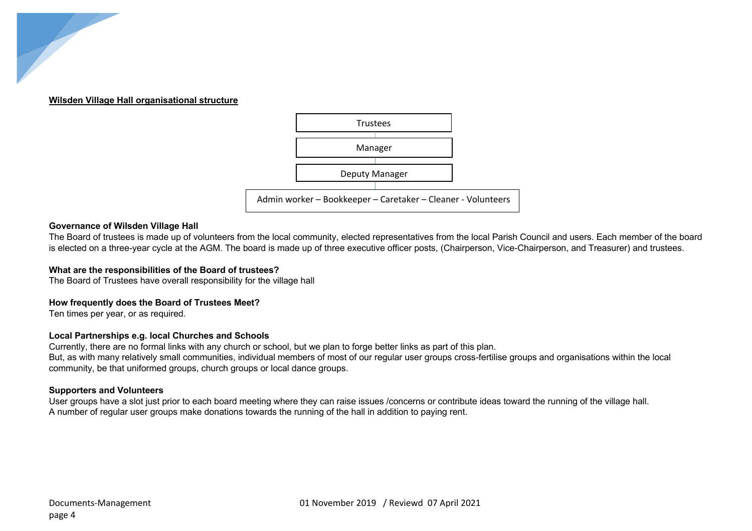



#### **Governance of Wilsden Village Hall**

The Board of trustees is made up of volunteers from the local community, elected representatives from the local Parish Council and users. Each member of the board is elected on a three-year cycle at the AGM. The board is made up of three executive officer posts, (Chairperson, Vice-Chairperson, and Treasurer) and trustees.

#### **What are the responsibilities of the Board of trustees?**

The Board of Trustees have overall responsibility for the village hall

#### **How frequently does the Board of Trustees Meet?**

Ten times per year, or as required.

#### **Local Partnerships e.g. local Churches and Schools**

Currently, there are no formal links with any church or school, but we plan to forge better links as part of this plan. But, as with many relatively small communities, individual members of most of our regular user groups cross-fertilise groups and organisations within the local community, be that uniformed groups, church groups or local dance groups.

### **Supporters and Volunteers**

User groups have a slot just prior to each board meeting where they can raise issues /concerns or contribute ideas toward the running of the village hall. A number of regular user groups make donations towards the running of the hall in addition to paying rent.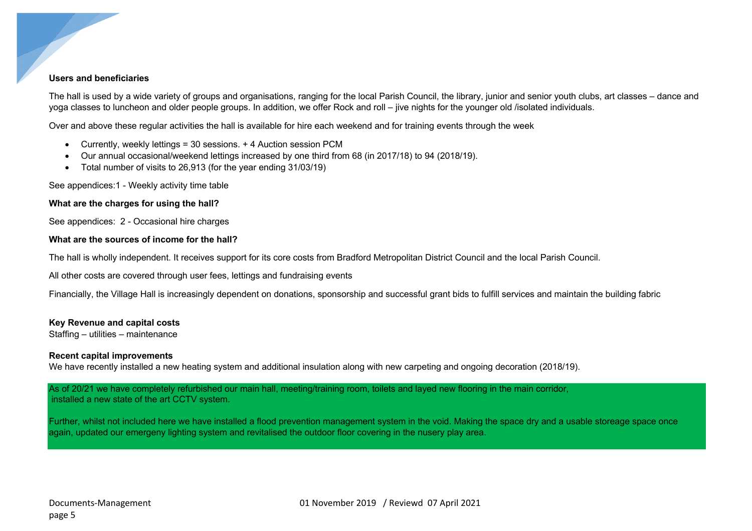#### **Users and beneficiaries**

The hall is used by a wide variety of groups and organisations, ranging for the local Parish Council, the library, junior and senior youth clubs, art classes – dance and yoga classes to luncheon and older people groups. In addition, we offer Rock and roll – jive nights for the younger old /isolated individuals.

Over and above these regular activities the hall is available for hire each weekend and for training events through the week

- Currently, weekly lettings = 30 sessions. + 4 Auction session PCM
- Our annual occasional/weekend lettings increased by one third from 68 (in 2017/18) to 94 (2018/19).
- Total number of visits to 26,913 (for the year ending 31/03/19)

See appendices:1 - Weekly activity time table

**What are the charges for using the hall?** 

See appendices: 2 - Occasional hire charges

#### **What are the sources of income for the hall?**

The hall is wholly independent. It receives support for its core costs from Bradford Metropolitan District Council and the local Parish Council.

All other costs are covered through user fees, lettings and fundraising events

Financially, the Village Hall is increasingly dependent on donations, sponsorship and successful grant bids to fulfill services and maintain the building fabric

#### **Key Revenue and capital costs**

Staffing – utilities – maintenance

#### **Recent capital improvements**

We have recently installed a new heating system and additional insulation along with new carpeting and ongoing decoration (2018/19).

As of 20/21 we have completely refurbished our main hall, meeting/training room, toilets and layed new flooring in the main corridor, installed a new state of the art CCTV system.

Further, whilst not included here we have installed a flood prevention management system in the void. Making the space dry and a usable storeage space once again, updated our emergeny lighting system and revitalised the outdoor floor covering in the nusery play area.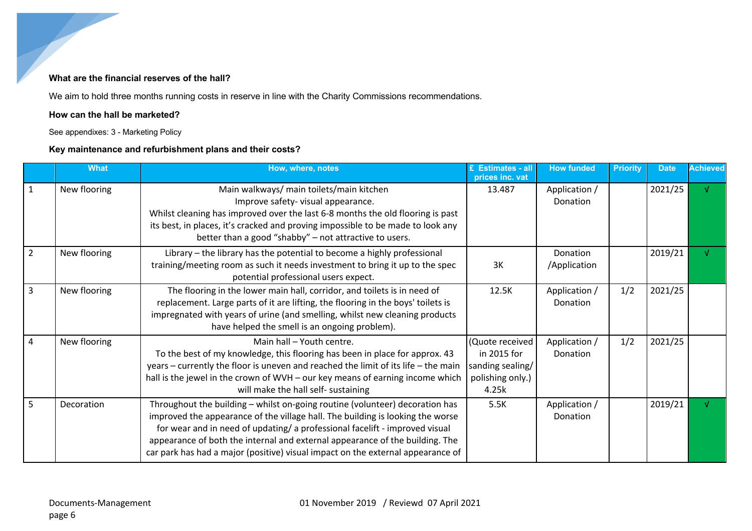# **What are the financial reserves of the hall?**

We aim to hold three months running costs in reserve in line with the Charity Commissions recommendations.

# **How can the hall be marketed?**

See appendixes: 3 - Marketing Policy

# **Key maintenance and refurbishment plans and their costs?**

|                | <b>What</b>  | How, where, notes                                                                                                                                                                                                                                                                                                                                                                                                | £ Estimates - all<br>prices inc. vat                                            | <b>How funded</b>         | <b>Priority</b> | <b>Date</b> | <b>Achieved</b> |
|----------------|--------------|------------------------------------------------------------------------------------------------------------------------------------------------------------------------------------------------------------------------------------------------------------------------------------------------------------------------------------------------------------------------------------------------------------------|---------------------------------------------------------------------------------|---------------------------|-----------------|-------------|-----------------|
| $\mathbf{1}$   | New flooring | Main walkways/ main toilets/main kitchen<br>Improve safety- visual appearance.<br>Whilst cleaning has improved over the last 6-8 months the old flooring is past<br>its best, in places, it's cracked and proving impossible to be made to look any<br>better than a good "shabby" - not attractive to users.                                                                                                    | 13.487                                                                          | Application /<br>Donation |                 | 2021/25     | $\sqrt{ }$      |
| $\overline{2}$ | New flooring | Library - the library has the potential to become a highly professional<br>training/meeting room as such it needs investment to bring it up to the spec<br>potential professional users expect.                                                                                                                                                                                                                  | 3K                                                                              | Donation<br>/Application  |                 | 2019/21     | $\sqrt{ }$      |
| $\overline{3}$ | New flooring | The flooring in the lower main hall, corridor, and toilets is in need of<br>replacement. Large parts of it are lifting, the flooring in the boys' toilets is<br>impregnated with years of urine (and smelling, whilst new cleaning products<br>have helped the smell is an ongoing problem).                                                                                                                     | 12.5K                                                                           | Application /<br>Donation | 1/2             | 2021/25     |                 |
| $\overline{4}$ | New flooring | Main hall - Youth centre.<br>To the best of my knowledge, this flooring has been in place for approx. 43<br>years - currently the floor is uneven and reached the limit of its life - the main<br>hall is the jewel in the crown of WVH - our key means of earning income which<br>will make the hall self- sustaining                                                                                           | (Quote received<br>in 2015 for<br>sanding sealing/<br>polishing only.)<br>4.25k | Application /<br>Donation | 1/2             | 2021/25     |                 |
| 5              | Decoration   | Throughout the building - whilst on-going routine (volunteer) decoration has<br>improved the appearance of the village hall. The building is looking the worse<br>for wear and in need of updating/ a professional facelift - improved visual<br>appearance of both the internal and external appearance of the building. The<br>car park has had a major (positive) visual impact on the external appearance of | 5.5K                                                                            | Application /<br>Donation |                 | 2019/21     |                 |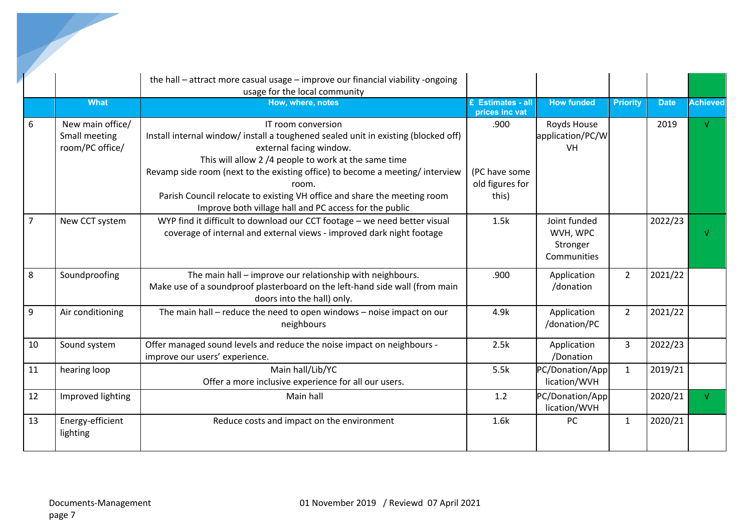|                |                                                      | the hall - attract more casual usage - improve our financial viability -ongoing                                                                                                                                             |                                           |                                                     |                 |             |            |
|----------------|------------------------------------------------------|-----------------------------------------------------------------------------------------------------------------------------------------------------------------------------------------------------------------------------|-------------------------------------------|-----------------------------------------------------|-----------------|-------------|------------|
|                |                                                      | usage for the local community                                                                                                                                                                                               |                                           |                                                     |                 |             |            |
|                | <b>What</b>                                          | How, where, notes                                                                                                                                                                                                           | £ Estimates - all<br>prices inc vat       | <b>How funded</b>                                   | <b>Priority</b> | <b>Date</b> | Achieved   |
| 6              | New main office/<br>Small meeting<br>room/PC office/ | IT room conversion<br>Install internal window/ install a toughened sealed unit in existing (blocked off)<br>external facing window.<br>This will allow 2 /4 people to work at the same time                                 | .900                                      | Royds House<br>application/PC/W<br>VH               |                 | 2019        | $\sqrt{ }$ |
|                |                                                      | Revamp side room (next to the existing office) to become a meeting/interview<br>room.<br>Parish Council relocate to existing VH office and share the meeting room<br>Improve both village hall and PC access for the public | (PC have some<br>old figures for<br>this) |                                                     |                 |             |            |
| $\overline{7}$ | New CCT system                                       | WYP find it difficult to download our CCT footage - we need better visual<br>coverage of internal and external views - improved dark night footage                                                                          | 1.5k                                      | Joint funded<br>WVH, WPC<br>Stronger<br>Communities |                 | 2022/23     | V          |
| 8              | Soundproofing                                        | The main hall - improve our relationship with neighbours.<br>Make use of a soundproof plasterboard on the left-hand side wall (from main<br>doors into the hall) only.                                                      | .900                                      | Application<br>/donation                            | $\overline{2}$  | 2021/22     |            |
| 9              | Air conditioning                                     | The main hall - reduce the need to open windows - noise impact on our<br>neighbours                                                                                                                                         | 4.9k                                      | Application<br>/donation/PC                         | $\overline{2}$  | 2021/22     |            |
| 10             | Sound system                                         | Offer managed sound levels and reduce the noise impact on neighbours -<br>improve our users' experience.                                                                                                                    | 2.5k                                      | Application<br>/Donation                            | 3               | 2022/23     |            |
| 11             | hearing loop                                         | Main hall/Lib/YC<br>Offer a more inclusive experience for all our users.                                                                                                                                                    | 5.5k                                      | PC/Donation/App<br>lication/WVH                     | $\mathbf{1}$    | 2019/21     |            |
| 12             | Improved lighting                                    | Main hall                                                                                                                                                                                                                   | 1.2                                       | PC/Donation/App<br>lication/WVH                     |                 | 2020/21     | $\sqrt{ }$ |
| 13             | Energy-efficient<br>lighting                         | Reduce costs and impact on the environment                                                                                                                                                                                  | 1.6k                                      | PC                                                  | $\mathbf{1}$    | 2020/21     |            |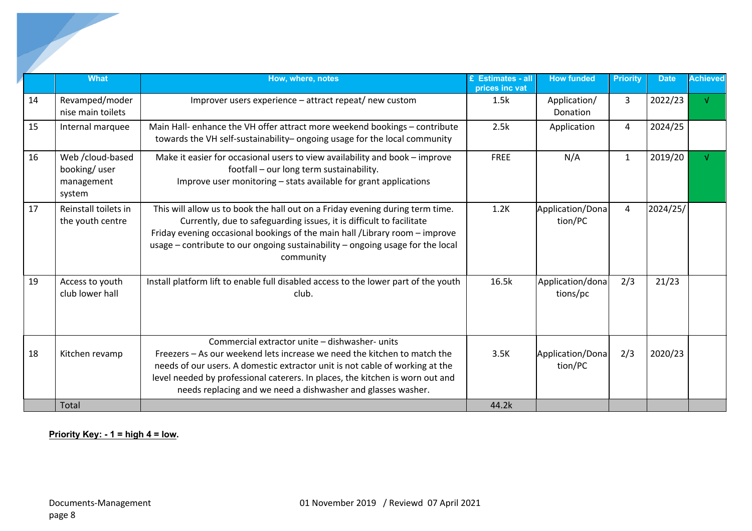|    | <b>What</b>                                              | How, where, notes                                                                                                                                                                                                                                                                                                                                           | £ Estimates - all<br>prices inc vat | <b>How funded</b>            | <b>Priority</b> | <b>Date</b> | <b>Achieved</b> |
|----|----------------------------------------------------------|-------------------------------------------------------------------------------------------------------------------------------------------------------------------------------------------------------------------------------------------------------------------------------------------------------------------------------------------------------------|-------------------------------------|------------------------------|-----------------|-------------|-----------------|
| 14 | Revamped/moder<br>nise main toilets                      | Improver users experience - attract repeat/ new custom                                                                                                                                                                                                                                                                                                      | 1.5k                                | Application/<br>Donation     | 3               | 2022/23     | $\sqrt{ }$      |
| 15 | Internal marquee                                         | Main Hall- enhance the VH offer attract more weekend bookings - contribute<br>towards the VH self-sustainability- ongoing usage for the local community                                                                                                                                                                                                     | 2.5k                                | Application                  | 4               | 2024/25     |                 |
| 16 | Web /cloud-based<br>booking/user<br>management<br>system | Make it easier for occasional users to view availability and book - improve<br>footfall - our long term sustainability.<br>Improve user monitoring - stats available for grant applications                                                                                                                                                                 | <b>FREE</b>                         | N/A                          | $\mathbf{1}$    | 2019/20     | $\sqrt{ }$      |
| 17 | Reinstall toilets in<br>the youth centre                 | This will allow us to book the hall out on a Friday evening during term time.<br>Currently, due to safeguarding issues, it is difficult to facilitate<br>Friday evening occasional bookings of the main hall /Library room - improve<br>usage - contribute to our ongoing sustainability - ongoing usage for the local<br>community                         | 1.2K                                | Application/Dona<br>tion/PC  | $\overline{4}$  | 2024/25/    |                 |
| 19 | Access to youth<br>club lower hall                       | Install platform lift to enable full disabled access to the lower part of the youth<br>club.                                                                                                                                                                                                                                                                | 16.5k                               | Application/dona<br>tions/pc | 2/3             | 21/23       |                 |
| 18 | Kitchen revamp                                           | Commercial extractor unite - dishwasher- units<br>Freezers - As our weekend lets increase we need the kitchen to match the<br>needs of our users. A domestic extractor unit is not cable of working at the<br>level needed by professional caterers. In places, the kitchen is worn out and<br>needs replacing and we need a dishwasher and glasses washer. | 3.5K                                | Application/Dona<br>tion/PC  | 2/3             | 2020/23     |                 |
|    | Total                                                    |                                                                                                                                                                                                                                                                                                                                                             | 44.2k                               |                              |                 |             |                 |

**Priority Key: - 1 = high 4 = low.**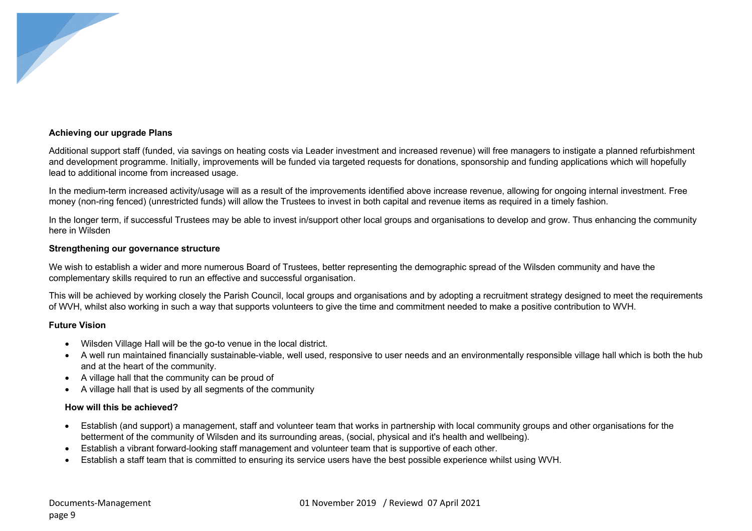# **Achieving our upgrade Plans**

Additional support staff (funded, via savings on heating costs via Leader investment and increased revenue) will free managers to instigate a planned refurbishment and development programme. Initially, improvements will be funded via targeted requests for donations, sponsorship and funding applications which will hopefully lead to additional income from increased usage.

In the medium-term increased activity/usage will as a result of the improvements identified above increase revenue, allowing for ongoing internal investment. Free money (non-ring fenced) (unrestricted funds) will allow the Trustees to invest in both capital and revenue items as required in a timely fashion.

In the longer term, if successful Trustees may be able to invest in/support other local groups and organisations to develop and grow. Thus enhancing the community here in Wilsden

## **Strengthening our governance structure**

We wish to establish a wider and more numerous Board of Trustees, better representing the demographic spread of the Wilsden community and have the complementary skills required to run an effective and successful organisation.

This will be achieved by working closely the Parish Council, local groups and organisations and by adopting a recruitment strategy designed to meet the requirements of WVH, whilst also working in such a way that supports volunteers to give the time and commitment needed to make a positive contribution to WVH.

# **Future Vision**

- Wilsden Village Hall will be the go-to venue in the local district.
- A well run maintained financially sustainable-viable, well used, responsive to user needs and an environmentally responsible village hall which is both the hub and at the heart of the community.
- A village hall that the community can be proud of
- A village hall that is used by all segments of the community

# **How will this be achieved?**

- Establish (and support) a management, staff and volunteer team that works in partnership with local community groups and other organisations for the betterment of the community of Wilsden and its surrounding areas, (social, physical and it's health and wellbeing).
- Establish a vibrant forward-looking staff management and volunteer team that is supportive of each other.
- Establish a staff team that is committed to ensuring its service users have the best possible experience whilst using WVH.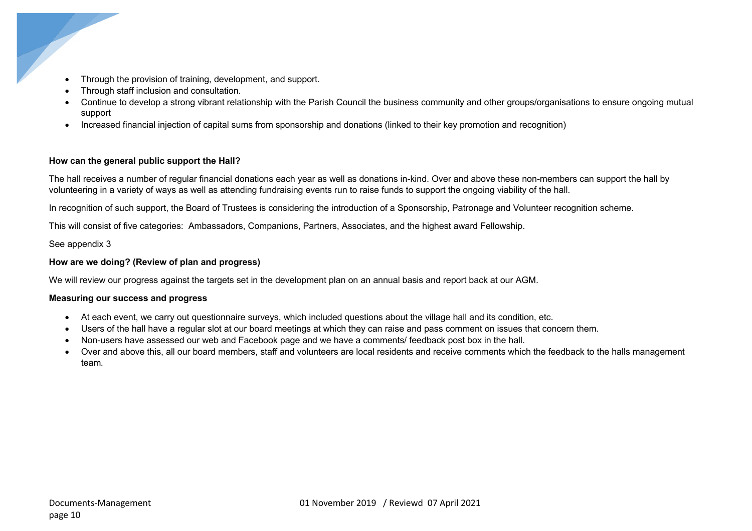- Through the provision of training, development, and support.
- Through staff inclusion and consultation.
- Continue to develop a strong vibrant relationship with the Parish Council the business community and other groups/organisations to ensure ongoing mutual support
- Increased financial injection of capital sums from sponsorship and donations (linked to their key promotion and recognition)

# **How can the general public support the Hall?**

The hall receives a number of regular financial donations each year as well as donations in-kind. Over and above these non-members can support the hall by volunteering in a variety of ways as well as attending fundraising events run to raise funds to support the ongoing viability of the hall.

In recognition of such support, the Board of Trustees is considering the introduction of a Sponsorship, Patronage and Volunteer recognition scheme.

This will consist of five categories: Ambassadors, Companions, Partners, Associates, and the highest award Fellowship.

See appendix 3

# **How are we doing? (Review of plan and progress)**

We will review our progress against the targets set in the development plan on an annual basis and report back at our AGM.

### **Measuring our success and progress**

- At each event, we carry out questionnaire surveys, which included questions about the village hall and its condition, etc.
- Users of the hall have a regular slot at our board meetings at which they can raise and pass comment on issues that concern them.
- Non-users have assessed our web and Facebook page and we have a comments/ feedback post box in the hall.
- Over and above this, all our board members, staff and volunteers are local residents and receive comments which the feedback to the halls management team*.*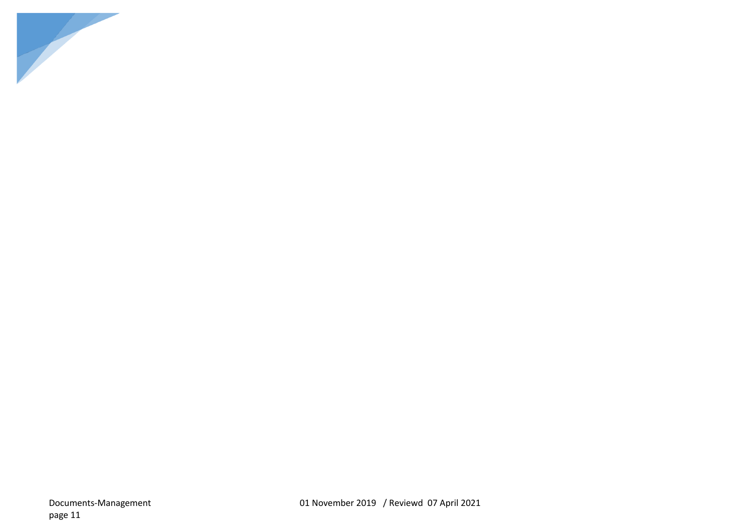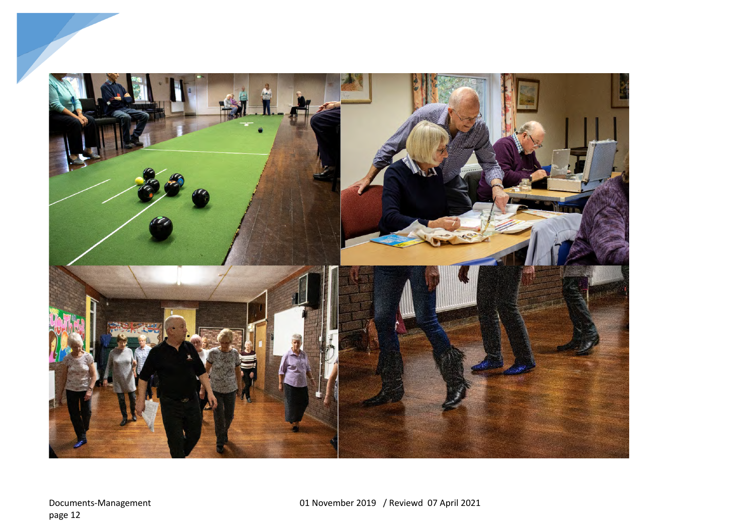